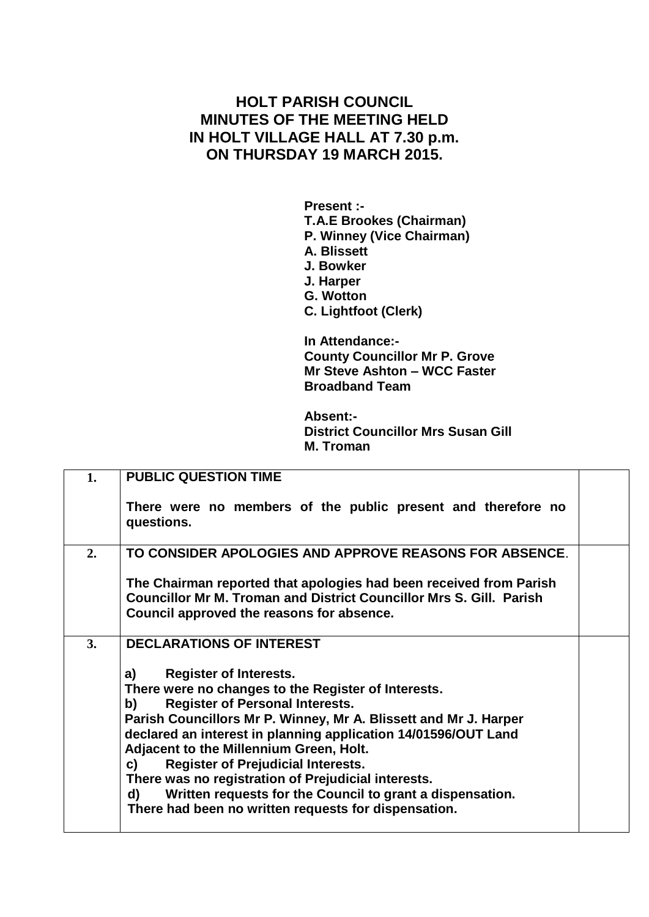## **HOLT PARISH COUNCIL MINUTES OF THE MEETING HELD IN HOLT VILLAGE HALL AT 7.30 p.m. ON THURSDAY 19 MARCH 2015.**

**Present :- T.A.E Brookes (Chairman) P. Winney (Vice Chairman) A. Blissett J. Bowker J. Harper G. Wotton C. Lightfoot (Clerk) In Attendance:-**

**County Councillor Mr P. Grove Mr Steve Ashton – WCC Faster Broadband Team**

**Absent:- District Councillor Mrs Susan Gill M. Troman**

| 1. | <b>PUBLIC QUESTION TIME</b>                                                                                                                                                                                                                                                                                                                                                                                                                                                                                                                                      |  |
|----|------------------------------------------------------------------------------------------------------------------------------------------------------------------------------------------------------------------------------------------------------------------------------------------------------------------------------------------------------------------------------------------------------------------------------------------------------------------------------------------------------------------------------------------------------------------|--|
|    | There were no members of the public present and therefore no<br>questions.                                                                                                                                                                                                                                                                                                                                                                                                                                                                                       |  |
| 2. | TO CONSIDER APOLOGIES AND APPROVE REASONS FOR ABSENCE.                                                                                                                                                                                                                                                                                                                                                                                                                                                                                                           |  |
|    | The Chairman reported that apologies had been received from Parish<br><b>Councillor Mr M. Troman and District Councillor Mrs S. Gill. Parish</b><br>Council approved the reasons for absence.                                                                                                                                                                                                                                                                                                                                                                    |  |
| 3. | <b>DECLARATIONS OF INTEREST</b>                                                                                                                                                                                                                                                                                                                                                                                                                                                                                                                                  |  |
|    | <b>Register of Interests.</b><br>a)<br>There were no changes to the Register of Interests.<br><b>Register of Personal Interests.</b><br>b)<br>Parish Councillors Mr P. Winney, Mr A. Blissett and Mr J. Harper<br>declared an interest in planning application 14/01596/OUT Land<br>Adjacent to the Millennium Green, Holt.<br><b>Register of Prejudicial Interests.</b><br>C)<br>There was no registration of Prejudicial interests.<br>Written requests for the Council to grant a dispensation.<br>d)<br>There had been no written requests for dispensation. |  |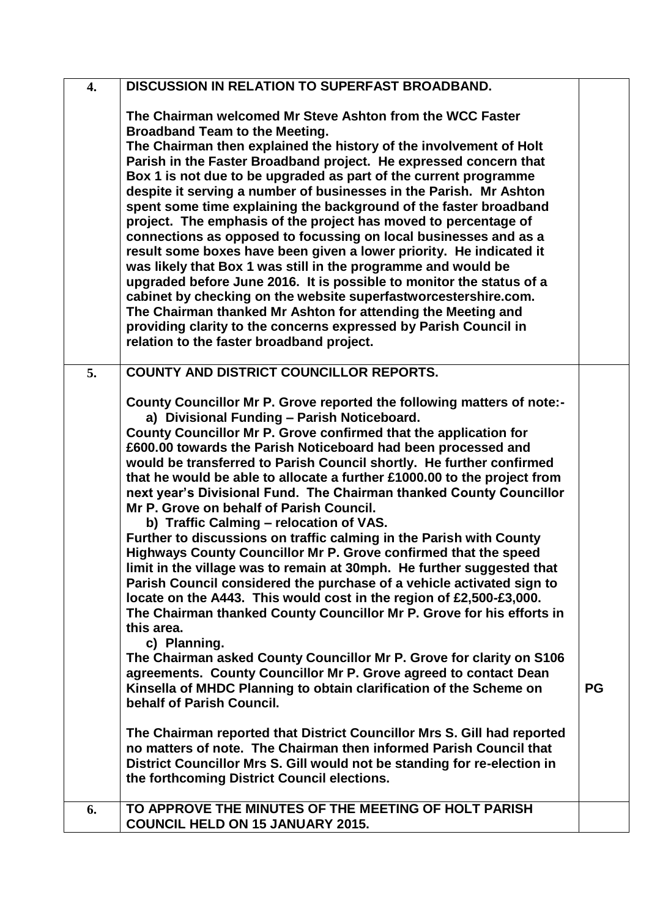| $\overline{4}$ . | <b>DISCUSSION IN RELATION TO SUPERFAST BROADBAND.</b>                                                                                                                                                                                                                                                                                                                                                                                                                                                                                                                                                                                                                                                                                                                                                                                                                                                                                                                                                                                                                                                                                                                                                                                                                                                                                                    |           |
|------------------|----------------------------------------------------------------------------------------------------------------------------------------------------------------------------------------------------------------------------------------------------------------------------------------------------------------------------------------------------------------------------------------------------------------------------------------------------------------------------------------------------------------------------------------------------------------------------------------------------------------------------------------------------------------------------------------------------------------------------------------------------------------------------------------------------------------------------------------------------------------------------------------------------------------------------------------------------------------------------------------------------------------------------------------------------------------------------------------------------------------------------------------------------------------------------------------------------------------------------------------------------------------------------------------------------------------------------------------------------------|-----------|
|                  | The Chairman welcomed Mr Steve Ashton from the WCC Faster<br><b>Broadband Team to the Meeting.</b><br>The Chairman then explained the history of the involvement of Holt<br>Parish in the Faster Broadband project. He expressed concern that<br>Box 1 is not due to be upgraded as part of the current programme<br>despite it serving a number of businesses in the Parish. Mr Ashton<br>spent some time explaining the background of the faster broadband<br>project. The emphasis of the project has moved to percentage of<br>connections as opposed to focussing on local businesses and as a<br>result some boxes have been given a lower priority. He indicated it<br>was likely that Box 1 was still in the programme and would be<br>upgraded before June 2016. It is possible to monitor the status of a<br>cabinet by checking on the website superfastworcestershire.com.<br>The Chairman thanked Mr Ashton for attending the Meeting and<br>providing clarity to the concerns expressed by Parish Council in<br>relation to the faster broadband project.                                                                                                                                                                                                                                                                                  |           |
| 5.               | <b>COUNTY AND DISTRICT COUNCILLOR REPORTS.</b><br>County Councillor Mr P. Grove reported the following matters of note:-<br>a) Divisional Funding - Parish Noticeboard.<br>County Councillor Mr P. Grove confirmed that the application for<br>£600.00 towards the Parish Noticeboard had been processed and<br>would be transferred to Parish Council shortly. He further confirmed<br>that he would be able to allocate a further £1000.00 to the project from<br>next year's Divisional Fund. The Chairman thanked County Councillor<br>Mr P. Grove on behalf of Parish Council.<br>b) Traffic Calming - relocation of VAS.<br>Further to discussions on traffic calming in the Parish with County<br>Highways County Councillor Mr P. Grove confirmed that the speed<br>limit in the village was to remain at 30mph. He further suggested that<br>Parish Council considered the purchase of a vehicle activated sign to<br>locate on the A443. This would cost in the region of £2,500-£3,000.<br>The Chairman thanked County Councillor Mr P. Grove for his efforts in<br>this area.<br>c) Planning.<br>The Chairman asked County Councillor Mr P. Grove for clarity on S106<br>agreements. County Councillor Mr P. Grove agreed to contact Dean<br>Kinsella of MHDC Planning to obtain clarification of the Scheme on<br>behalf of Parish Council. | <b>PG</b> |
|                  | The Chairman reported that District Councillor Mrs S. Gill had reported<br>no matters of note. The Chairman then informed Parish Council that<br>District Councillor Mrs S. Gill would not be standing for re-election in<br>the forthcoming District Council elections.                                                                                                                                                                                                                                                                                                                                                                                                                                                                                                                                                                                                                                                                                                                                                                                                                                                                                                                                                                                                                                                                                 |           |
| 6.               | TO APPROVE THE MINUTES OF THE MEETING OF HOLT PARISH<br><b>COUNCIL HELD ON 15 JANUARY 2015.</b>                                                                                                                                                                                                                                                                                                                                                                                                                                                                                                                                                                                                                                                                                                                                                                                                                                                                                                                                                                                                                                                                                                                                                                                                                                                          |           |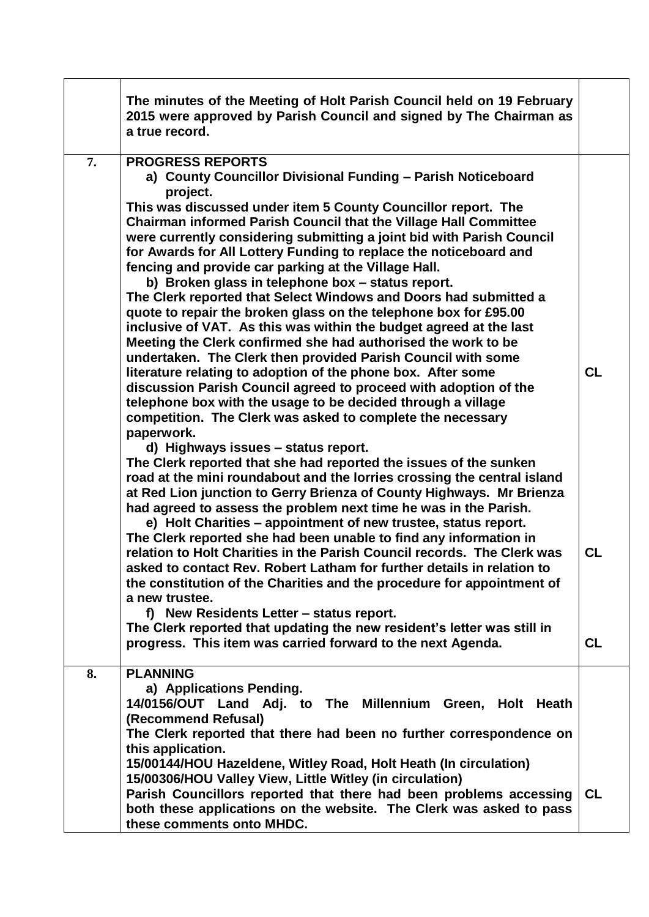|    | The minutes of the Meeting of Holt Parish Council held on 19 February<br>2015 were approved by Parish Council and signed by The Chairman as<br>a true record.                                                                                                                                                                                                                                                                                                                                                                                                                                                                                                                                                                                                                                                                                                                                                                                                                                                                                                                                                                                                                                                                                                                                                                                                                                            |                 |
|----|----------------------------------------------------------------------------------------------------------------------------------------------------------------------------------------------------------------------------------------------------------------------------------------------------------------------------------------------------------------------------------------------------------------------------------------------------------------------------------------------------------------------------------------------------------------------------------------------------------------------------------------------------------------------------------------------------------------------------------------------------------------------------------------------------------------------------------------------------------------------------------------------------------------------------------------------------------------------------------------------------------------------------------------------------------------------------------------------------------------------------------------------------------------------------------------------------------------------------------------------------------------------------------------------------------------------------------------------------------------------------------------------------------|-----------------|
| 7. | <b>PROGRESS REPORTS</b><br>a) County Councillor Divisional Funding - Parish Noticeboard<br>project.<br>This was discussed under item 5 County Councillor report. The<br><b>Chairman informed Parish Council that the Village Hall Committee</b><br>were currently considering submitting a joint bid with Parish Council<br>for Awards for All Lottery Funding to replace the noticeboard and<br>fencing and provide car parking at the Village Hall.<br>b) Broken glass in telephone box - status report.<br>The Clerk reported that Select Windows and Doors had submitted a<br>quote to repair the broken glass on the telephone box for £95.00<br>inclusive of VAT. As this was within the budget agreed at the last<br>Meeting the Clerk confirmed she had authorised the work to be<br>undertaken. The Clerk then provided Parish Council with some<br>literature relating to adoption of the phone box. After some<br>discussion Parish Council agreed to proceed with adoption of the<br>telephone box with the usage to be decided through a village<br>competition. The Clerk was asked to complete the necessary<br>paperwork.<br>d) Highways issues - status report.<br>The Clerk reported that she had reported the issues of the sunken<br>road at the mini roundabout and the lorries crossing the central island<br>at Red Lion junction to Gerry Brienza of County Highways. Mr Brienza | <b>CL</b>       |
|    | had agreed to assess the problem next time he was in the Parish.<br>e) Holt Charities - appointment of new trustee, status report.<br>The Clerk reported she had been unable to find any information in<br>relation to Holt Charities in the Parish Council records. The Clerk was<br>asked to contact Rev. Robert Latham for further details in relation to<br>the constitution of the Charities and the procedure for appointment of<br>a new trustee.<br>f) New Residents Letter - status report.<br>The Clerk reported that updating the new resident's letter was still in<br>progress. This item was carried forward to the next Agenda.                                                                                                                                                                                                                                                                                                                                                                                                                                                                                                                                                                                                                                                                                                                                                           | CL<br><b>CL</b> |
| 8. | <b>PLANNING</b>                                                                                                                                                                                                                                                                                                                                                                                                                                                                                                                                                                                                                                                                                                                                                                                                                                                                                                                                                                                                                                                                                                                                                                                                                                                                                                                                                                                          |                 |
|    | a) Applications Pending.<br>14/0156/OUT Land Adj. to The Millennium Green, Holt Heath<br>(Recommend Refusal)<br>The Clerk reported that there had been no further correspondence on<br>this application.<br>15/00144/HOU Hazeldene, Witley Road, Holt Heath (In circulation)<br>15/00306/HOU Valley View, Little Witley (in circulation)<br>Parish Councillors reported that there had been problems accessing<br>both these applications on the website. The Clerk was asked to pass<br>these comments onto MHDC.                                                                                                                                                                                                                                                                                                                                                                                                                                                                                                                                                                                                                                                                                                                                                                                                                                                                                       | <b>CL</b>       |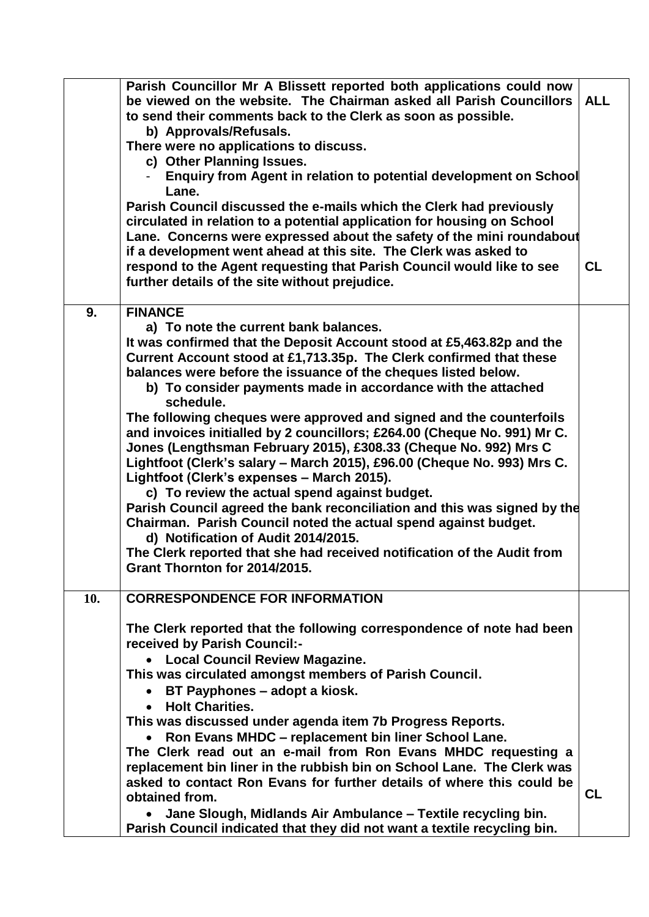|     | Parish Councillor Mr A Blissett reported both applications could now     |            |
|-----|--------------------------------------------------------------------------|------------|
|     | be viewed on the website. The Chairman asked all Parish Councillors      | <b>ALL</b> |
|     | to send their comments back to the Clerk as soon as possible.            |            |
|     | b) Approvals/Refusals.                                                   |            |
|     | There were no applications to discuss.                                   |            |
|     | c) Other Planning Issues.                                                |            |
|     | Enquiry from Agent in relation to potential development on School        |            |
|     | Lane.                                                                    |            |
|     | Parish Council discussed the e-mails which the Clerk had previously      |            |
|     | circulated in relation to a potential application for housing on School  |            |
|     | Lane. Concerns were expressed about the safety of the mini roundabout    |            |
|     | if a development went ahead at this site. The Clerk was asked to         |            |
|     | respond to the Agent requesting that Parish Council would like to see    | <b>CL</b>  |
|     | further details of the site without prejudice.                           |            |
|     |                                                                          |            |
| 9.  | <b>FINANCE</b>                                                           |            |
|     | a) To note the current bank balances.                                    |            |
|     | It was confirmed that the Deposit Account stood at £5,463.82p and the    |            |
|     | Current Account stood at £1,713.35p. The Clerk confirmed that these      |            |
|     | balances were before the issuance of the cheques listed below.           |            |
|     | b) To consider payments made in accordance with the attached             |            |
|     | schedule.                                                                |            |
|     | The following cheques were approved and signed and the counterfoils      |            |
|     | and invoices initialled by 2 councillors; £264.00 (Cheque No. 991) Mr C. |            |
|     | Jones (Lengthsman February 2015), £308.33 (Cheque No. 992) Mrs C         |            |
|     | Lightfoot (Clerk's salary - March 2015), £96.00 (Cheque No. 993) Mrs C.  |            |
|     | Lightfoot (Clerk's expenses - March 2015).                               |            |
|     | c) To review the actual spend against budget.                            |            |
|     | Parish Council agreed the bank reconciliation and this was signed by the |            |
|     | Chairman. Parish Council noted the actual spend against budget.          |            |
|     | d) Notification of Audit 2014/2015.                                      |            |
|     | The Clerk reported that she had received notification of the Audit from  |            |
|     | Grant Thornton for 2014/2015.                                            |            |
|     |                                                                          |            |
| 10. | <b>CORRESPONDENCE FOR INFORMATION</b>                                    |            |
|     |                                                                          |            |
|     | The Clerk reported that the following correspondence of note had been    |            |
|     | received by Parish Council:-                                             |            |
|     | <b>Local Council Review Magazine.</b><br>$\bullet$                       |            |
|     | This was circulated amongst members of Parish Council.                   |            |
|     | BT Payphones - adopt a kiosk.                                            |            |
|     | <b>Holt Charities.</b>                                                   |            |
|     | This was discussed under agenda item 7b Progress Reports.                |            |
|     | Ron Evans MHDC - replacement bin liner School Lane.                      |            |
|     | The Clerk read out an e-mail from Ron Evans MHDC requesting a            |            |
|     | replacement bin liner in the rubbish bin on School Lane. The Clerk was   |            |
|     | asked to contact Ron Evans for further details of where this could be    |            |
|     | obtained from.                                                           | <b>CL</b>  |
|     | Jane Slough, Midlands Air Ambulance - Textile recycling bin.             |            |
|     | Parish Council indicated that they did not want a textile recycling bin. |            |